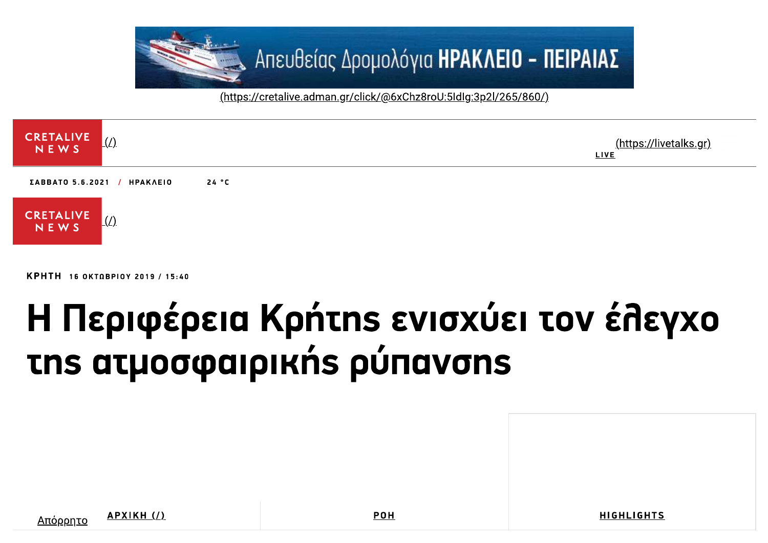

(https://cretalive.adman.gr/click/@6xChz8roU:5IdIq:3p2l/265/860/)



КРНТН 16 ОКТОВРІОУ 2019 / 15:40

## Η Περιφέρεια Κρήτης ενισχύει τον έλεγχο Ths at uo opaipik n's púravons

Απόρρητο

APXIKH (/)

**POH** 

**HIGHLIGHTS**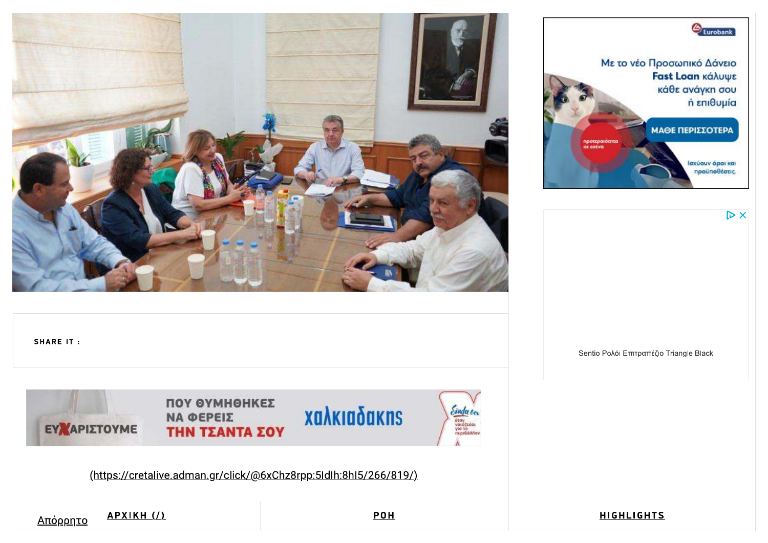



 $\triangleright$  X

**SHARE IT:** 



*Sinda Co.*<br>
void(cook<br>
via to<br>
nepisonnev

(https://cretalive.adman.gr/click/@6xChz8rpp:5Idlh:8hl5/266/819/)

<u>Απόρρητο</u>

APXIKH (/)

**POH** 

**HIGHLIGHTS** 

Sentio Ρολόι Επιτραπέζιο Triangle Black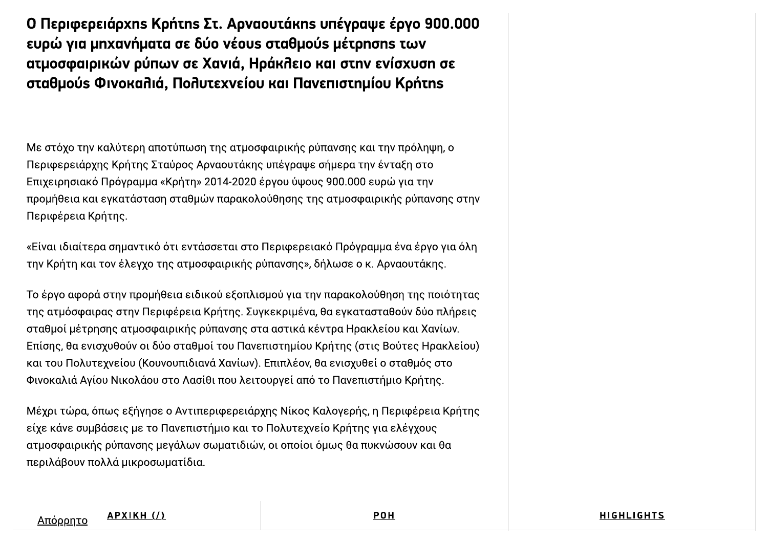Ο Περιφερειάρχης Κρήτης Στ. Αρναουτάκης υπέγραψε έργο 900.000 ευρώ για μηχανήματα σε δύο νέουs σταθμούs μέτρησηs των ατμοσφαιρικών ρύπων σε Χανιά, Ηράκλειο και στην ενίσχυση σε σταθμούs Φινοκαλιά, Πολυτεχνείου και Πανεπιστημίου Κρήτης

Με στόχο την καλύτερη αποτύπωση της ατμοσφαιρικής ρύπανσης και την πρόληψη, ο Περιφερειάρχης Κρήτης Σταύρος Αρναουτάκης υπέγραψε σήμερα την ένταξη στο Επιχειρησιακό Πρόγραμμα «Κρήτη» 2014-2020 έργου ύψους 900.000 ευρώ για την προμήθεια και εγκατάσταση σταθμών παρακολούθησης της ατμοσφαιρικής ρύπανσης στην Περιφέρεια Κρήτης.

«Είναι ιδιαίτερα σημαντικό ότι εντάσσεται στο Περιφερειακό Πρόγραμμα ένα έργο για όλη την Κρήτη και τον έλεγχο της ατμοσφαιρικής ρύπανσης», δήλωσε ο κ. Αρναουτάκης.

Το έργο αφορά στην προμήθεια ειδικού εξοπλισμού για την παρακολούθηση της ποιότητας της ατμόσφαιρας στην Περιφέρεια Κρήτης. Συγκεκριμένα, θα εγκατασταθούν δύο πλήρεις σταθμοί μέτρησης ατμοσφαιρικής ρύπανσης στα αστικά κέντρα Ηρακλείου και Χανίων. Επίσης, θα ενισχυθούν οι δύο σταθμοί του Πανεπιστημίου Κρήτης (στις Βούτες Ηρακλείου) και του Πολυτεχνείου (Κουνουπιδιανά Χανίων). Επιπλέον, θα ενισχυθεί ο σταθμός στο Φινοκαλιά Αγίου Νικολάου στο Λασίθι που λειτουργεί από το Πανεπιστήμιο Κρήτης.

Μέχρι τώρα, όπως εξήγησε ο Αντιπεριφερειάρχης Νίκος Καλογερής, η Περιφέρεια Κρήτης είχε κάνε συμβάσεις με το Πανεπιστήμιο και το Πολυτεχνείο Κρήτης για ελέγχους ατμοσφαιρικής ρύπανσης μεγάλων σωματιδιών, οι οποίοι όμως θα πυκνώσουν και θα περιλάβουν πολλά μικροσωματίδια.

**HIGHLIGHTS**